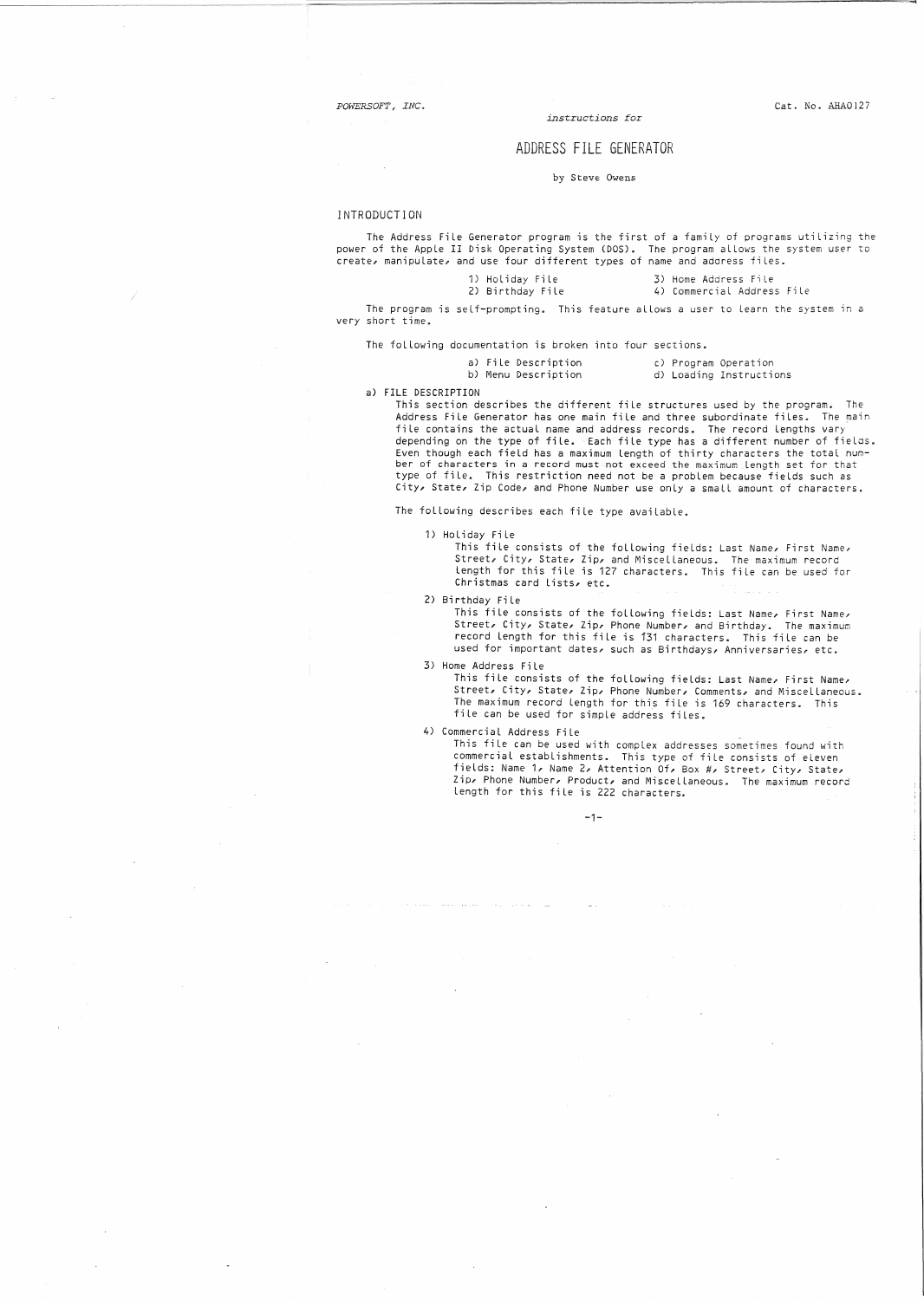*POWERSOFT* I' *INC.*

 $\mathcal{L}$ 

*instructions for*

### ADDRESS FILE GENERATOR

by Steve Owens

#### INTRODUCTION

The Address FiLe Generator program is the first of a family of programs utilizing the power of the AppLe II Disk Operating System (DOS). The program allows the system user to create, manipulate, and use four different types of name and address files.

| 1) Holiday File  |  |
|------------------|--|
| DA DESALESS PERS |  |

3) Home Address File 2) Birthday File 4) Commercial Address File

The program is self-prompting. This feature allows a user to learn the system in a very short time.

The following documentation is broken into four sections.

|  | ) File Description |  |
|--|--------------------|--|
|  |                    |  |

a) File Description b) Menu Description

c) Program Operation d) Loading Instructions

a) FILE DESCRIPTION

This section describes the different fiLe structures used by the program. The Address File Generator has one main file and three subordinate files. The main file contains the actual name and address records. The record lengths vary depending on the type of file. Each file type has a different number of fieLas. Even though each field has a maximum length of thirty characters the total num-<br>ber of characters in a record must not exceed the maximum length set for that type of file. This restriction need not be a problem because fieLds such as City, State, Zip Code, and Phone Number use only a small amount of characters.

The following describes each file type available.

1) Holiday File

This file consists of the following fields: Last Name, First Name, Street, City, State, Zip, and MisceLlaneous. The maximum record length for this file is 127 characters. This file can be used Tor Christmas card lists, etc.

2) Birthday File

This file consists of the following fields: Last Name, First Name, Street, City, State, Zip, Phone Number, and Birthday. The maximum record length for this file is 131 characters. This file can be used for important dates, such as Birthdays, Anniversaries, etc.

3) Home Address File

This file consists of the following fields: Last Name, First Name,<br>Street, City, State, Zip, Phone Number, Comments, and Miscellaneous<br>The maximum record length for this file is 169 characters. This fiLe can be used for simple address files.

4) Commercial Address File

This file can be used with complex addresses sometimes found with commercial establishments. This type of file consists fields: Name 1 Name 2, Attention Of, Box #, Street, Zip, Phone Number, Product, and MisceLlaneous. The length for this file is 222 characters.

-1-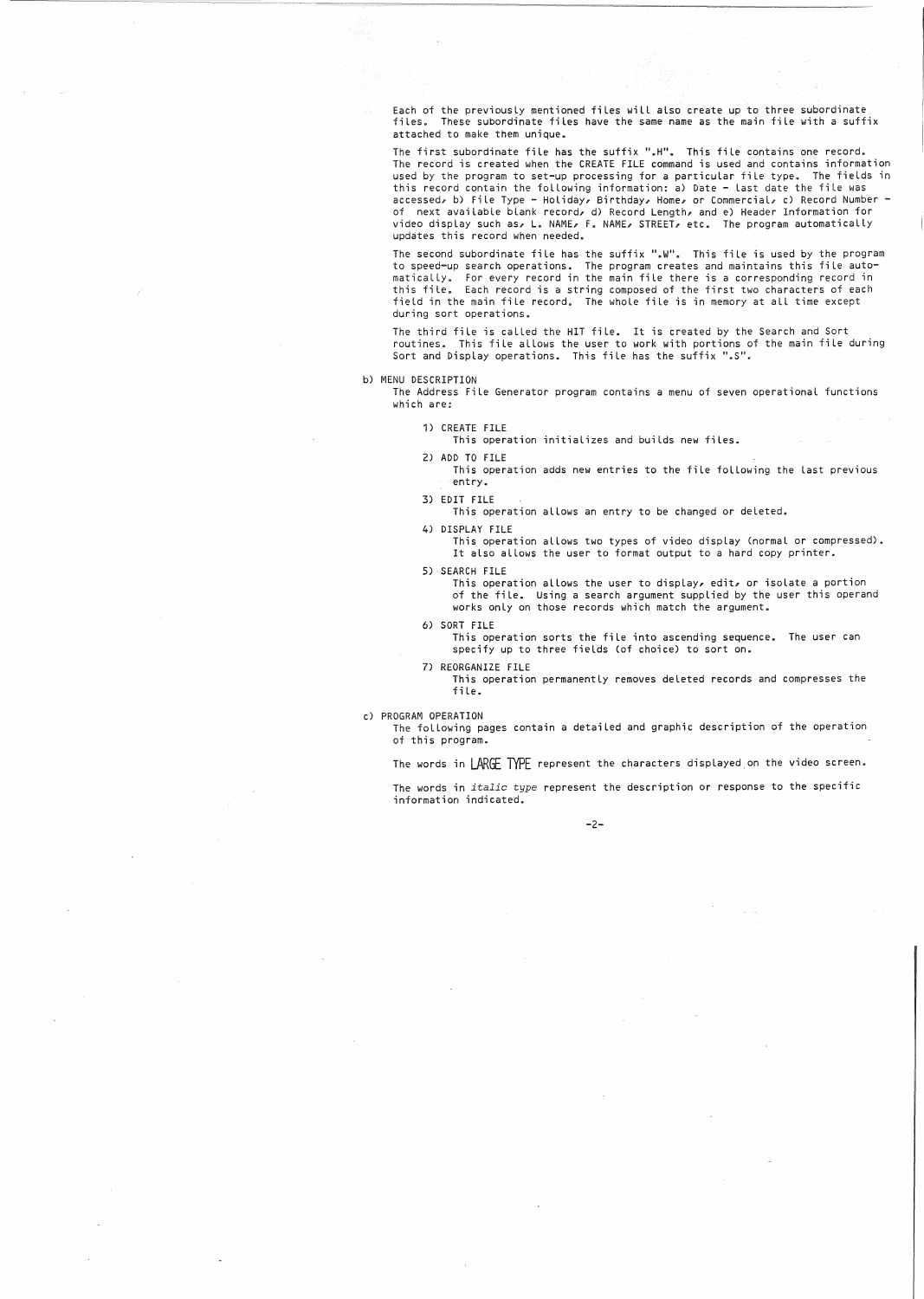Each of the previously mentioned files will also create up to three subordinate<br>files. These subordinate files have the same name as the main file with a suff These subordinate files have the same name as the main file with a suffix attached to make them unique.

The first subordinate file has the suffix ".H". This file contains one record. The record is created when the CREATE FILE command is used and contains information used by the program to set—up processing for a particular file type. The fields in<br>this record contain the following information: a) Date — last date the file was<br>accessed, b) File Type — Holiday, Birthday, Home, or Commer of next avaiLable blank record, d) Record Length, and e) Header Information for video display such as, L. NAME, F. NAME, STREET, etc. The program automatically updates this record when needed.

The second subordinate file has the suffix <mark>".</mark>W". This file is used by the program<br>to speed<del>-</del>up search operations. The program creates and maintains this file automaticaLLy. For every record in the main file there is a corresponding record in this fiLe. Each record is a string composed of the first two characters of each fieLd in the main file record. The whoLe file is in memory at aLL time except during sort operations.

The third fiLe is caLLed the HIT fiLe. It is created by the Search and Sort routines. This file alLows the user to work with portions of the main file during Sort and Display operations. This file has the suffix ".S".

b) MENU DESCRiPTION

The Address File Generator program contains a menu of seven operational functions which are:

1) CREATE FILE

This operation initiaLizes and builds new files.

2) ADD TO FILE

This operation adds new entries to the file foLlowing the last previous entry ..

3) EDIT FILE

This operation aLlows an entry to be changed or deLeted.

#### 4) DISPLAY FILE

This operation allows two types of video display (normal or compressed). It also aLlows the user to format output to a hard copy printer.

S) SEARCH FILE

This operation allows the user to display, edit, or isolate a portion of the file. Using a search argument supplied by the user this operand works onLy on those records which match the argument.

6) SORT FILE

This operation sorts the file into ascending sequence. The user can specify up to three fieLds (of choice) to sort on.

7) REORGANIZE FILE

This operation permanently removes deleted records and compresses the fiLe.

c) PROGRAM OPERATION

The folLowing pages contain a detailed and graphic description of the operation of this program ..

The words in LARGE TYPE represent the characters displayed,on the video screen.

The words in *italic type* represent the description or response to the specific information indicated.

-2-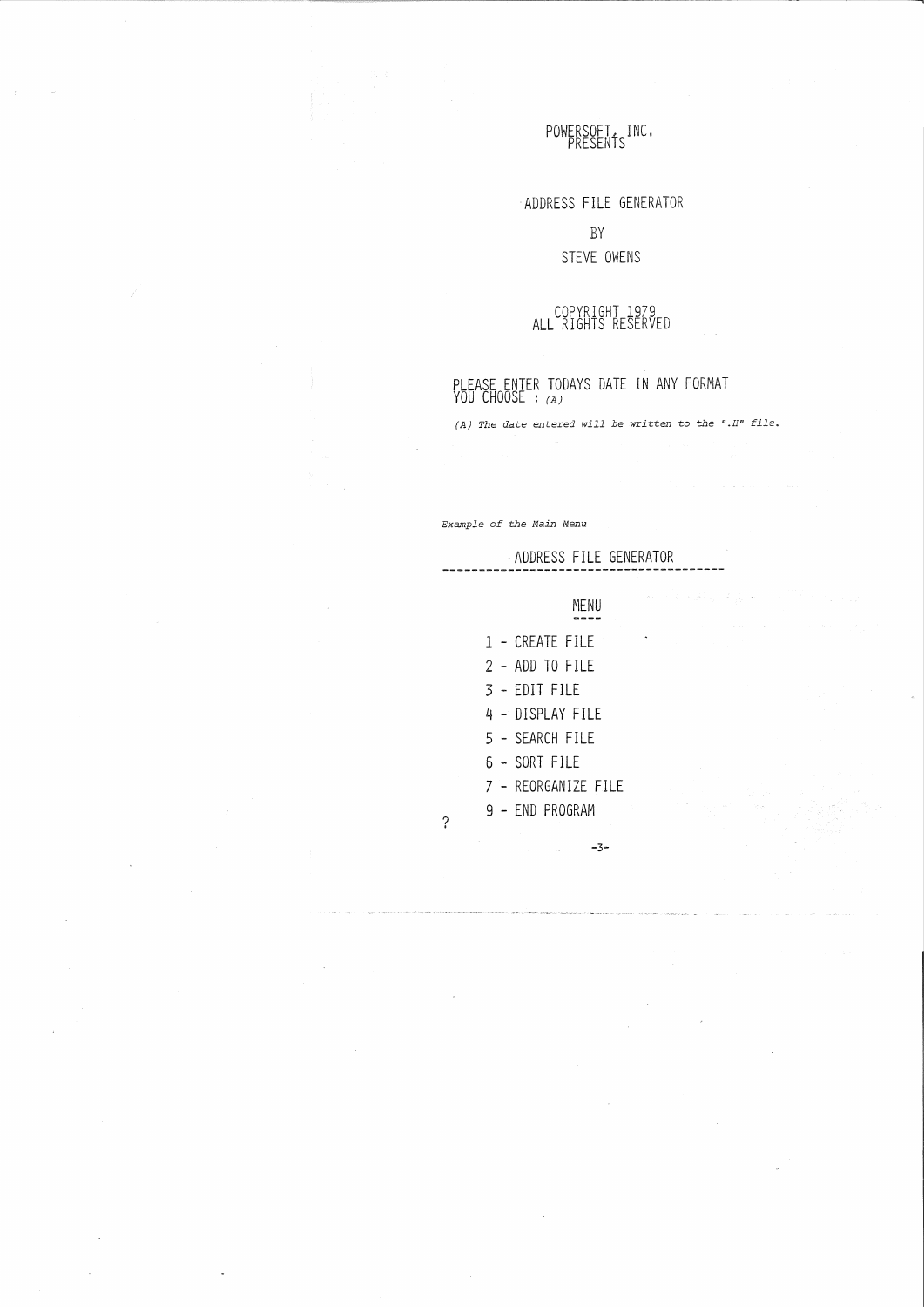# POWERSOFT, INC.

-ADDRESS FILE GENERATOR

# BY STEVE OWENS

# COPYRIGHT 1979 ALL RIGHTS RESERVED

PLEASE ENTER TODAYS DATE IN ANY FORMAT<br>YOU CHOOSE : <sub>(A)</sub>

(A) The date entered will be written to the ".H" file.

Example of the Main Menu

ADDRESS FILE GENERATOR

MENU

| 1 - CREATE FILE     |
|---------------------|
| 2 - ADD TO FILE     |
| 3 - FDIT FILF       |
| 4 - DISPLAY FILE    |
| 5 - SFARCH FILE     |
| 6 - SORT FILF       |
| 7 - REORGANIZE FILE |
| 9 - FND PROGRAM     |
|                     |

?

-3-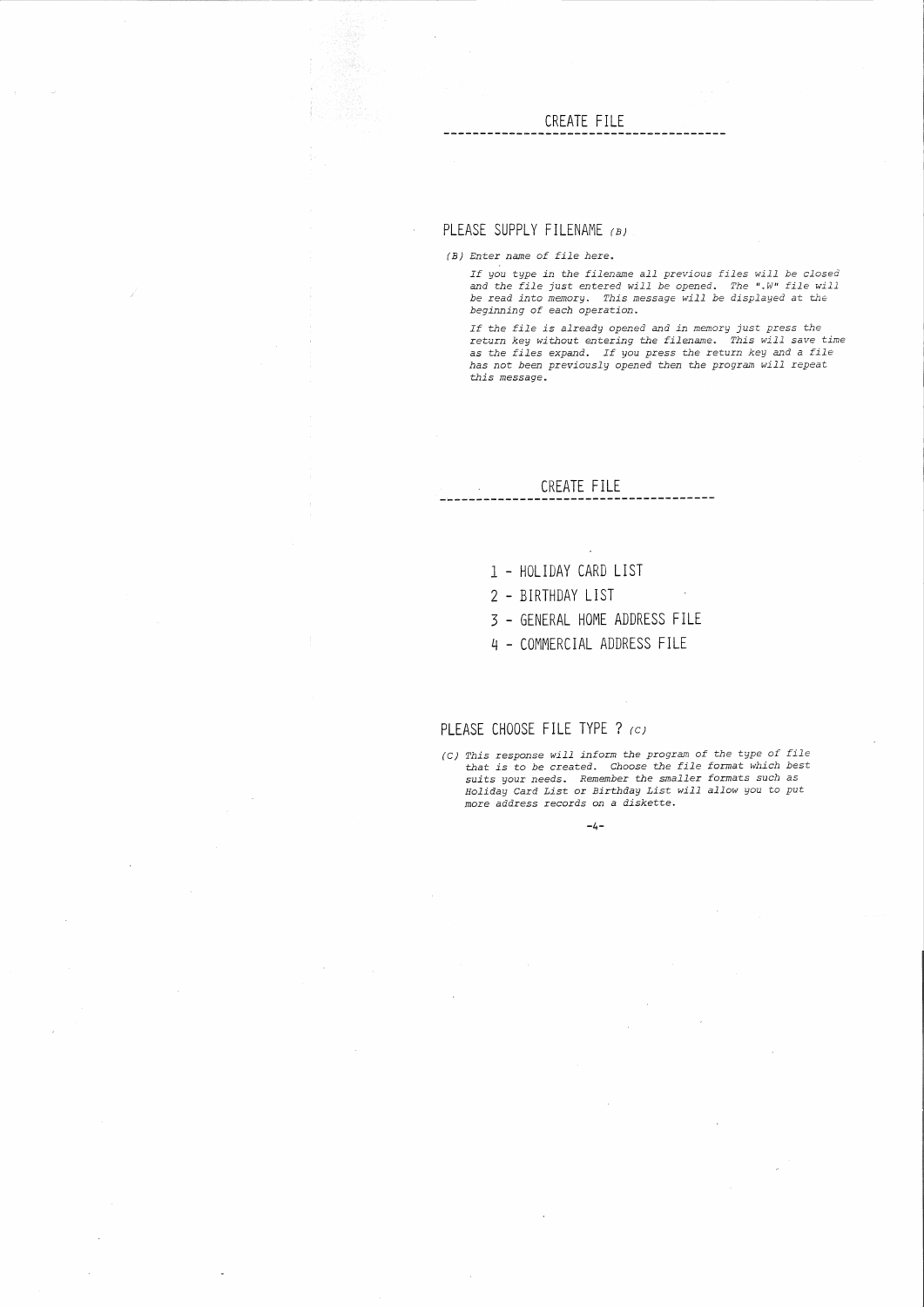# **CREATE FILE**

# **PLEASE SUPPLY FILENAME** (B)

(B) Enter name of file here.

 $\bar{\mathcal{A}}$ 

If you type in the filename all previous files will be closed<br>and the file just entered will be opened. The ".W" file will<br>be read into memory. This message will be displayed at the<br>beginning of each operation.

-------

If the file is already opened and in memory just press the return key without entering the filename. This will sa've time as the files expand. If you press the return key and <sup>a</sup> file has not been previously opened then the program will repeat this message.

#### **CREATE FILE** ---------

- 1 **HOLIDAY CARD LIST**
- **2 BIRTHDAY LIST**
- 3 **- GENERAL HOME ADDRESS FILE**
- 4 **- COMMERCIAL ADDRESS FILE**

**-4-**

# **PLEASE CHOOSE FILE TYPE ?** *(C)*

(C) This response will inform the program of the type of file that is to be created. Choose the file format which best suits your needs. Remember the smaller formats such as Holiday Card List or Birthday List will allow you to put more address records on a diskette.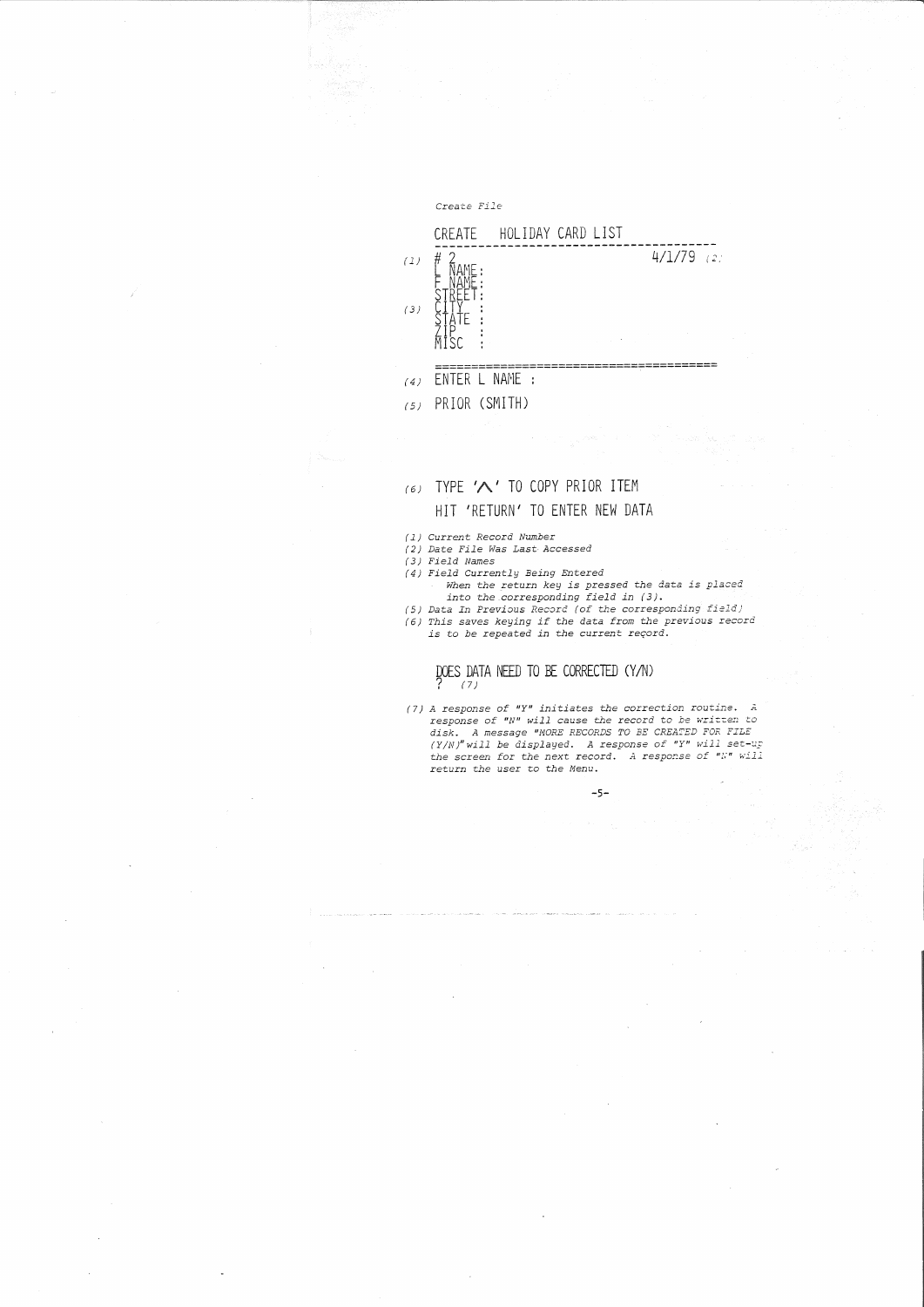

# $(6)$  TYPE ' $\bigwedge$ ' TO COPY PRIOR ITEM HIT 'RETURN' TO ENTER NEW DATA

- *(1)* Curren~ *Record Number*
- *(2)* Da~e *File Was Last- Accessed*
- *(3) Field Names*
- *(4) Field Currently Being Entered*
	- *When* ~he .re~urn *key is pressed the* da~a *is placed* in~o *the.corresponding field in (3).*
- (5) Data In Previous Record (of the corresponding field)<br>(6) This saves keying if the data from the previous record<br>is to be repeated in the current reçord.
- 

# DOES DATA NEED TO BE CORRECTED (Y/N)

(7) A response of "Y" initiates the correction routine. A response of "N" will cause the record to be written to disk. A message "MORE RECORDS TO BE CREATED FOR FILE (Y/N)" will be displayed. A response of "Y" will set-up<br>the screen for the next record. A response of "Y" will<br>return the user to the Menu.

-5-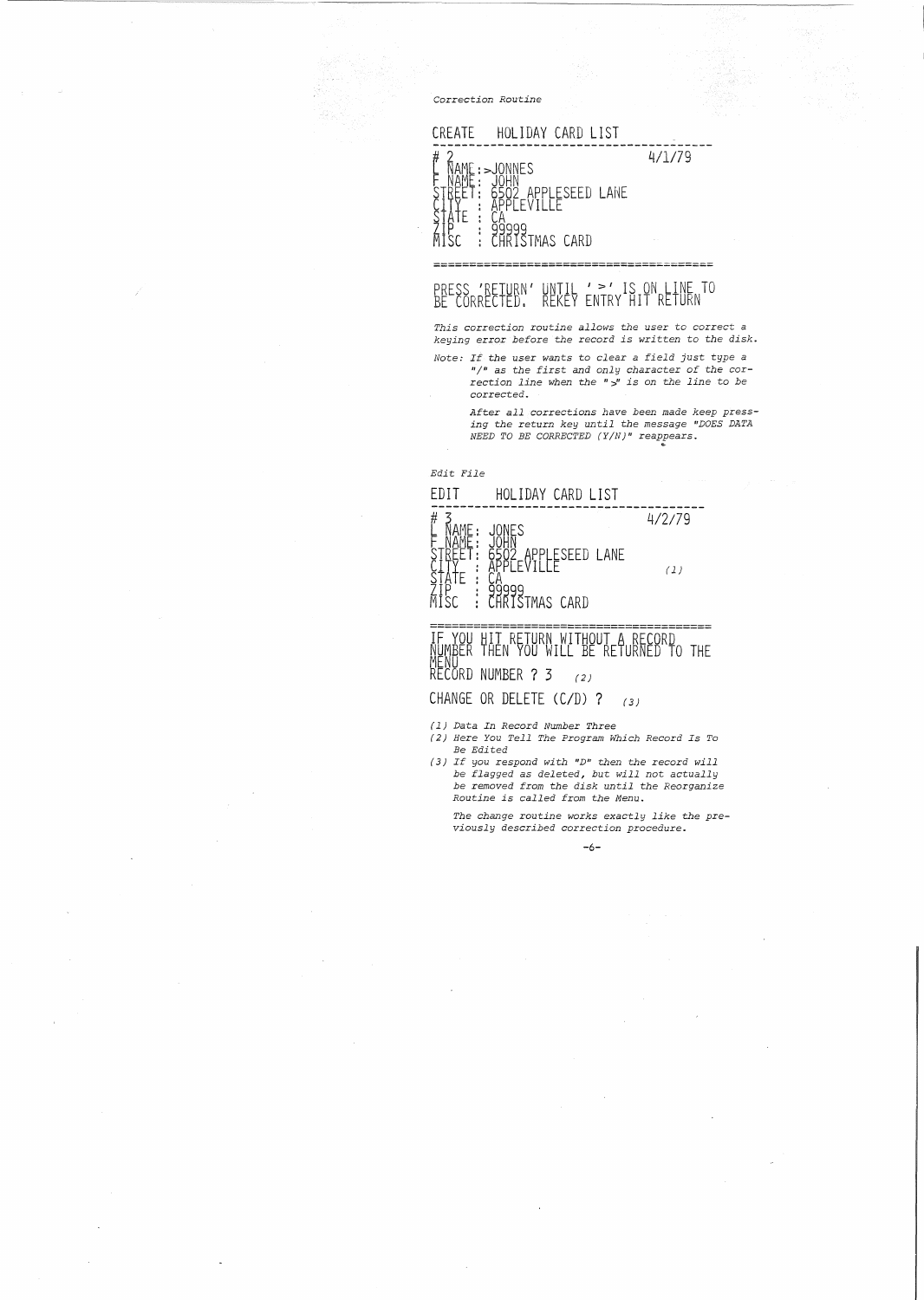*Correction Routine*



# PRESS 'RETURN' UNTIL ' >' IS ON LINE TO BE CORRECTED. REKEY ENTRY HIT RETURN

*This correction routine allows the* user *to correct a keying* error *before the record is written to the disk.*

*Note: If the* user *wants* to *clear <sup>a</sup> field just type <sup>a</sup>* "/" as the first and only character of the cor-<br>rection line when the " $y$ " is on the line to be corrected.

> *After all corrections have been made keep pressing the return key until the message "DOES DATA NEED TO BE CORRECTED (YIN)" reappears.*

*Edit File*



~MIWAFK THEN YOU WILL BE RETURNED TO THE rienu<br>RECORD NUMBER ? 3 (2)

CHANGE OR DELETE *(CID)* 7 (3)

*(1) Data In Record Number Three*

- *(2) Here You Tell The Program Which Record Is To Be Edited*
- ( 3) *If you respond with "DII then the record will be flagged as deleted, but will not actually be removed from the disk until the Reorganize Routine is called from the Menu.*

*The change routine works exactly like the previously described correction procedure.*

-6-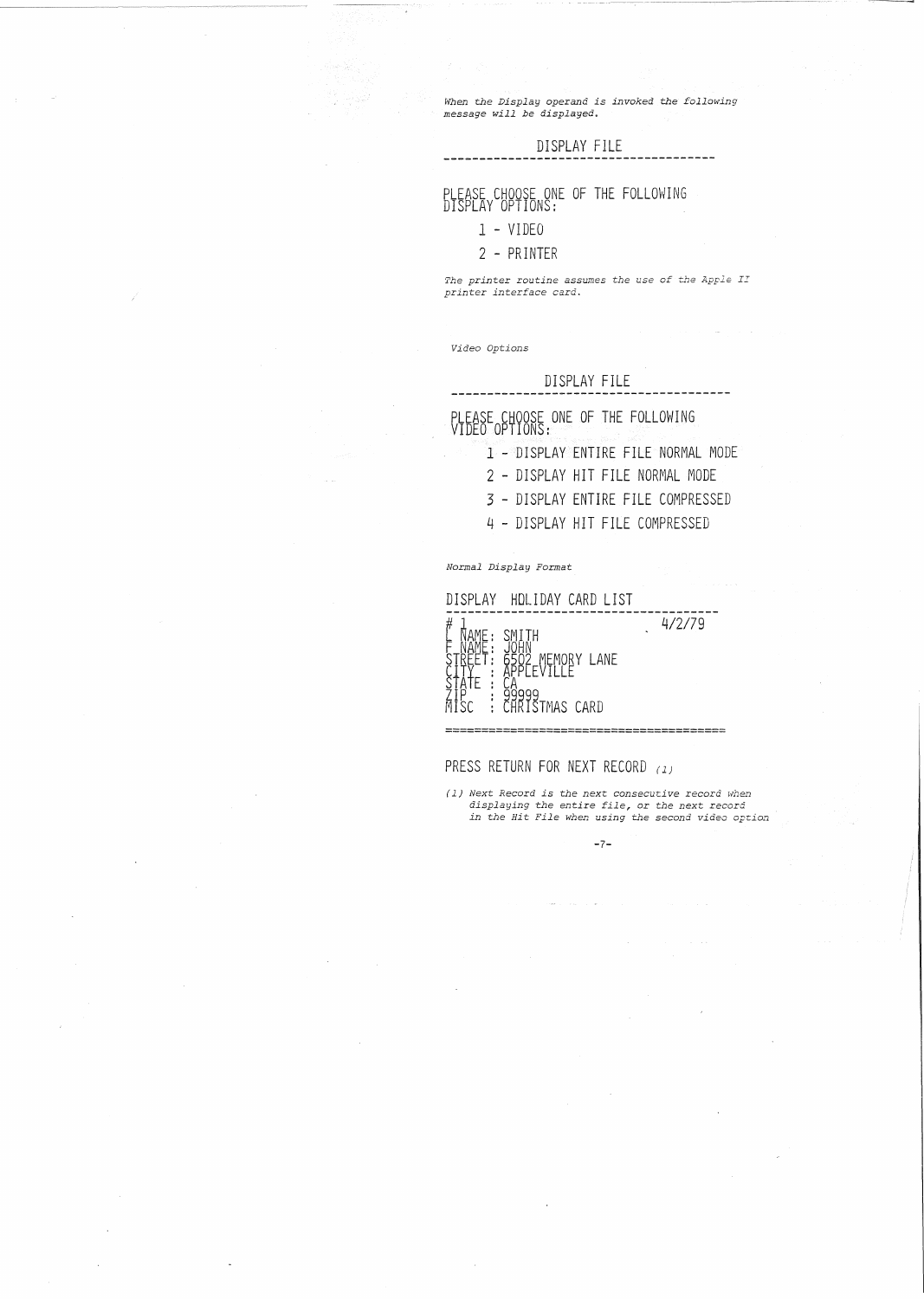*When the Display operand is invoked -the follm'ling message will be displayed.*

### DISPLAY FILE

# PLEASE CHOOSE ONE OF THE FOLLOWING DISPLAY OPTIONS:

# 1 - VIDEO

### 2 - PRINTER

*The printer routine assumes the use of the Apple II printer interface card.*

*Video Options*

------------

### DISPLAY FILE

PLEASE CHOOSE ONE OF THE FOLLOWING

1 - DISPLAY ENTIRE FILE NORMAL MODE

- 2 DISPLAY HIT FILE NORMAL MODE
- 3 DISPLAY ENTIRE FILE COMPRESSED
- 4 DISPLAY HIT FILE COMPRESSED

*Normal Display Format*



CHRISTMAS CARD

# PRESS RETURN FOR NEXT RECORD (1)

(1) Next Record is the next consecutive record when *displaying the entire file,* or *the next* record *in -the Hit File when using the second video option*

-7-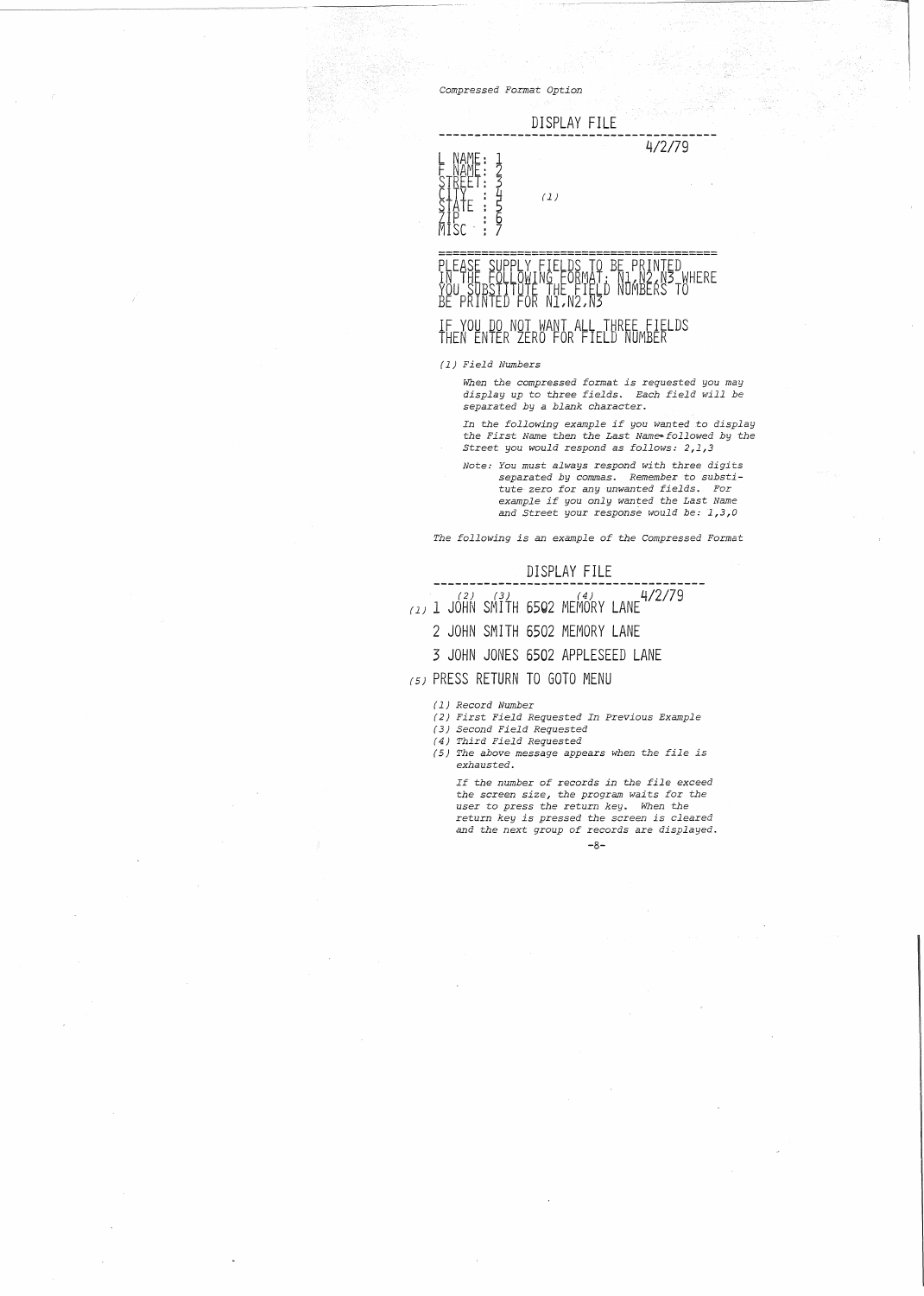*Compressed Format Option*

# DISPLAY FILE

4/2/79



# PLEASE SUPPLY FIELDS TO BE PRINTED<br>IN THE FOLLOWING FORMAT: N1/N2.N3 WHERE YOU SUBSIITUTE THE FIELD NUMBERS TO<br>BE PRINTED FOR N1,N2,N3 IF YOU DO NOT WANT ALL THREE FIELDS THEN ENTER ZERO FOR FIELD NUMBER

 $(1)$ 

#### *(1) Field Numbers*

*When the compressed format is requested you may display up* to *three fields. Each field will be separated hy* a *blank character.*

*In the following example if you wanted* to *display the First Name then the Last Name--follovled by the street you would respond* as *follows: 2,1,3*

*Note: You must always respond with three digits separated by commas. Remember <tosubsti-tute zero for any unwanted fields.* For *example if you only wanted the Last Name and Street your response would be: 1,3,0*

*The following is an example of the Compressed Format*

- DISPLAY FILE **--------------------------------------** (2) (3) (4) '1/2/79 (1) 1 JOHN SMITH 6502 MEMORY LANE
	- 2 JOHN SMITH 6502 MEMORY LANE
	- 3 JOHN JONES 6502 APPLESEED LANE
- (5) PRESS RETURN TO GOTO MENU
	- *(1) Record Number*
	- *(2) First Field Requested In Previous Example*
	- *(3) Second Field Requested*
	- *(4) Third Field Requested*
	- *(5) The above message appears when the file is exhausted.*

*If the number of records in the file exceed the screen size, the program waits for the user* to *press the return key. When the return key is pressed the screen is cleared and the next group of records* are *displayed.*

-8-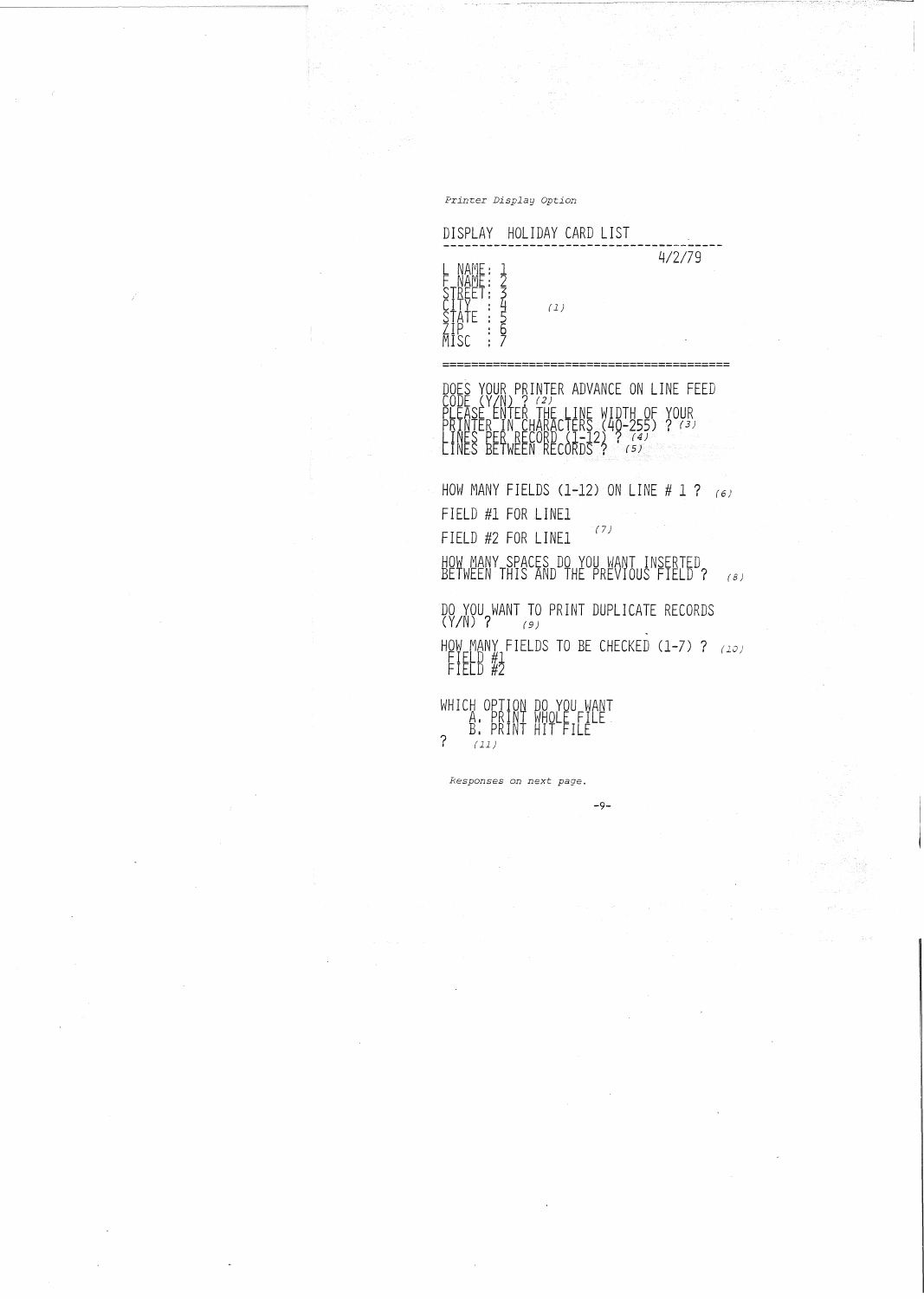Printer *Display Option*

DOES YOUR PRINTER ADVANCE ON LINE FEED<br>CODE (Y/N) ? (2)<br>PLEASE ENTER THE LINE WIDTH OF YOUR<br>PRINTER IN CHARACTERS (40-255) ? (3)<br>LINES BETWEEN RECORDS ? (5) PLEASE ENTER<br>PRINTER IN CHARACTERS<br>PRINTER IN CHARACTERS<br>TINES PER RECORDS?<br>TINES BETWEEN RECORDS?

HOW MANY FIELDS (1-12) ON LINE # 1 ?  $(6)$ FIELD #1 FOR LINE1 FIELD #2 FOR LINE1  $(7)$ HOW MANY SPACES DO YOU WANT INSERTED<br>BETWEEN THIS AND THE PREVIOUS FIELD ? (8) DO YOU WANT TO PRINT DUPLICATE RECORDS (Y*IN)* <sup>7</sup> (9) HOW ~ANY FIELDS TO BE CHECKED (1-7) 7 *(10)*

-9-

ricld #Z WHICH OPTION DO YOU WANT<br>A. PRINT WHOLE FILE<br>? (11)

*Responses on next page.*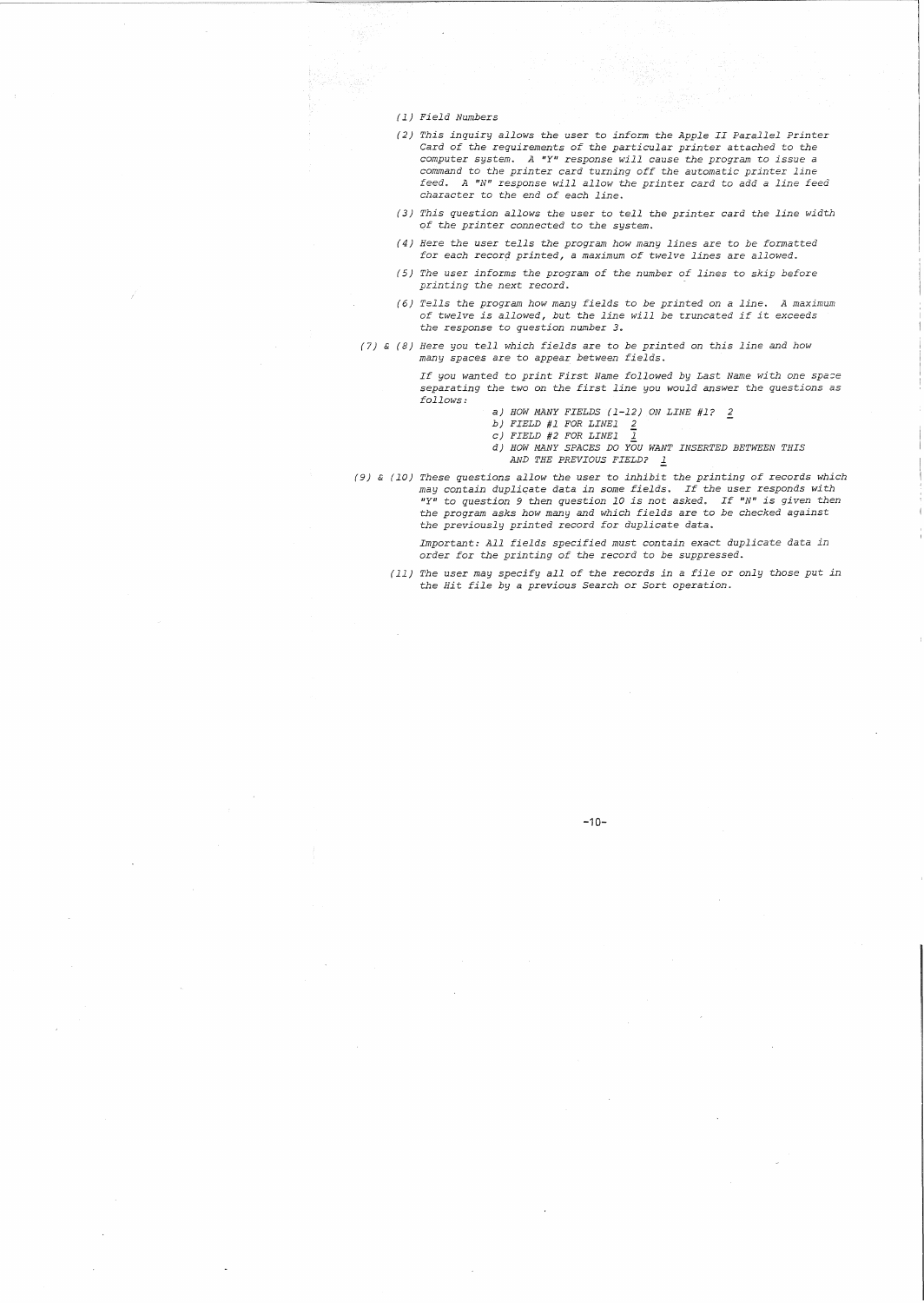#### *(1) Field Numbers*

- *(2) This inquiry allows* the user ro *inform rhe Apple II Parallel Prinrer* Card *of the requiremenrs of rhe particular printer attached* to *the computer* system. A "Y" response will cause the program to issue a *command* to *rhe prinrer* card *turning off* the *automatic printer line feed. A "N" response will allow* the *printer card* to *add* a *line feed characrer* to *the end of each line.*
- *(3) This question allows the user* to *tell the printer card* the *line width of rhe prinrer connected* to *rhe sysrem.*
- ( 4) *Here the user rells the program how many lines are* to *be formatted for each* recor9 *printed,* <sup>a</sup> *maximum of rwelve lines* are *allowed.*
- ( 5) *The user informs the program of the number of lines* ro *skip before printing rhe next record.*
- *(6) Tells the program how many fields* to *be printed on* <sup>a</sup> *line. A maximum of twelve is allowed, but the line will be truncated if it exceeds the response* to *question number* 3 ..
- (7) & (8) *Here you tell which fields* are to *be prinred on rhis line and how many spaces* are ro *appear between fields.*

If you wanted to print First Name followed by Last Name with one space<br>separating the two on the first line you would answer the questions as *follows:*

- a) *HOW MANY FIELDS* (1-12) *ON LINE* #1? 2
- *b) FIELD* #1 *FOR LINE1 2* c) *FIELD* #2 *FOR LINE1* I
- 
- d) *HOW MANY SPACES DO YOU WANT INSERTED BETWEEN THIS AND THE PREVIOUS FIELD?* l:.
- (9) & (10) These questions allow the user to inhibit the printing of records which may contain duplicate data in some fields. If the user responds with "Y" to question 9 then question 10 is not asked. If "N" is given then *the program asks how many and which fields* are ro *be checked against the previously printed* record *for dup1icare data.*

*Important: All fields specified must contain exact duplicate data in order for* the *printing of the* record to *be suppressed.*

*(11) The* user *may specify all of the* records *in <sup>a</sup> file* or *only those put in the Hit file by <sup>a</sup> previous Search* or *Sort operation.*

### **-10-**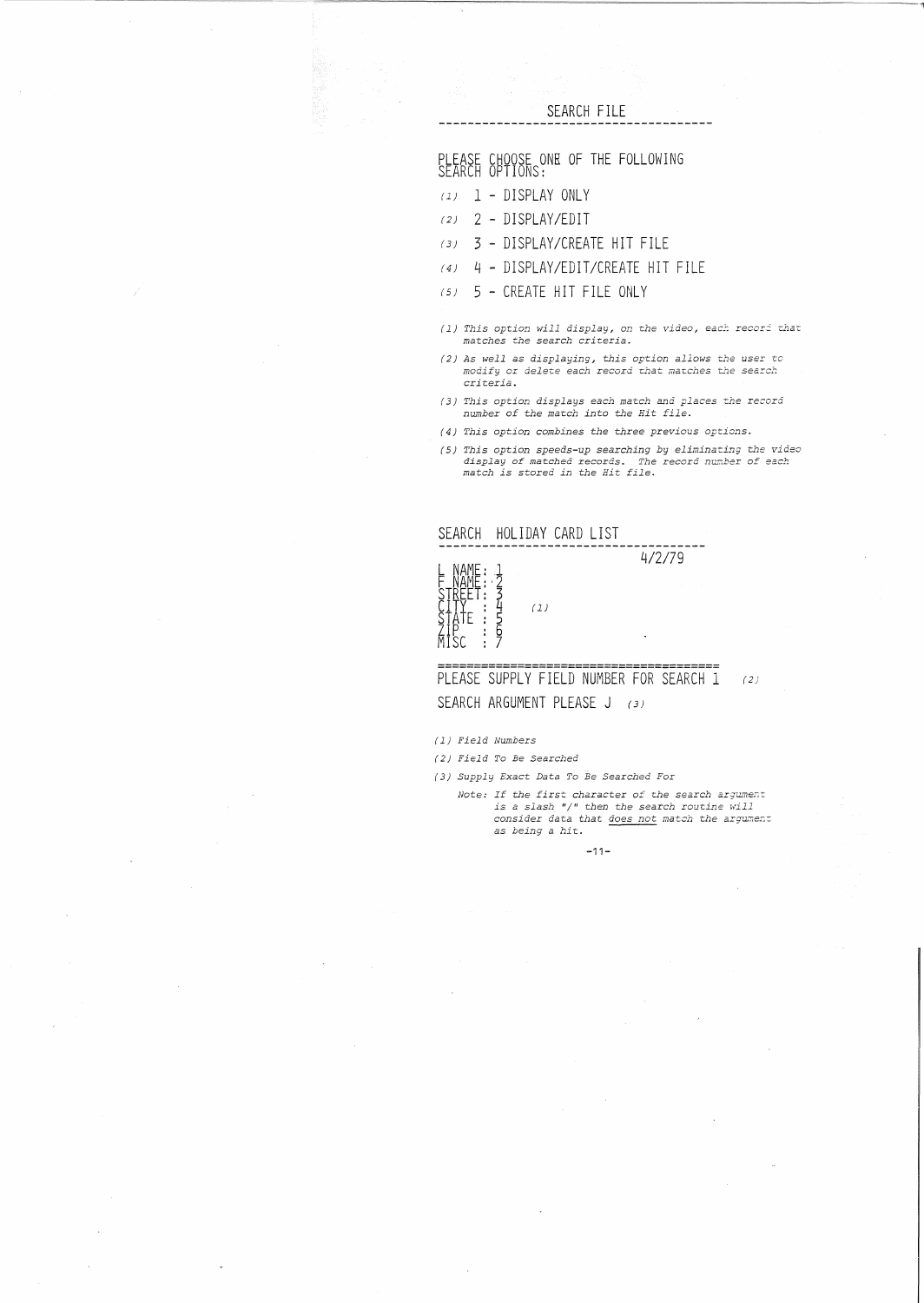SEARCH FILE

PLEASE CHOOSE ONE OF THE FOLLOWING SEARCH OPTIONS:

- *(1)* 1 DISPLAY ONLY
- (2) 2 DISPLAY/EDIT
- (3) 3 DISPLAY/CREATE HIT FILE
- (4) 4 DISPLAY/EDIT/CREATE HIT FILE
- (5) 5 CREATE HIT FILE ONLY
- *(1) This option will display, on the video, eac:- recor2 that matches the search criteria.*
- *(2) As well* as *displaying, this option allows the user* to *modify* or *delete each* record ~hat *matches the search criteria.*
- *(3) This option displays each match and places* the record *number of the match into the Hit file.*
- r4) *This option combines t.he three previous options*.
- (5) This option speeds-up searching by eliminating the video<br>display of matched records. The record number of each<br>match is stored in the Hit file.



# PLEASE SUPPLY FIELD NUMBER FOR SEARCH 1 (2) SEARCH ARGUMENT PLEASE J (3)

(*1) Field Nutnbers*

*(2) Field To Be Searched*

*(3) Supply Exact Data To Be Searched For*

Note: If the first character of the search argument<br>is a slash "/" then the search routine will<br>consider data that <u>does not</u> match the argument as *being* <sup>a</sup> *hit.*

-11-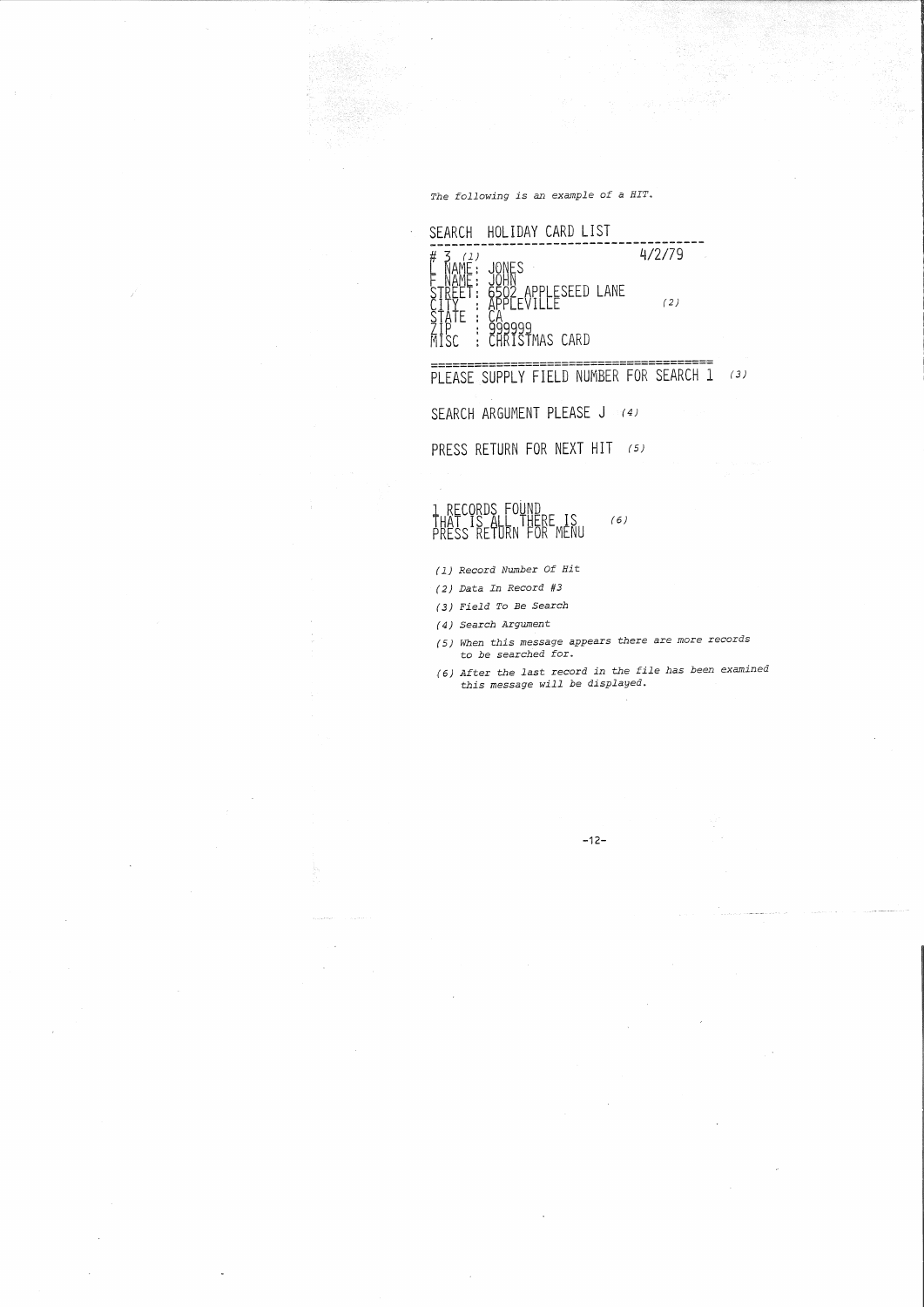*The following is an example of <sup>a</sup> HIT.*



SEARCH ARGUMENT PLEASE J (4)

PRESS RETURN FOR NEXT **HIT** (5)

# 1 RECORDS FOUND<br>THAT IS ALL THERE IS<br>PRESS RETURN FOR MENU  $(6)$

*(1) Record Number Of Hit*

- (2) *Data In Record #3*
- (3) *Field To Be Search*

(4) *Search Argument*

- (5) *When this message appears* there are more records to *be searched for.*
- (6) *After the last* record *in the file has been examined this message will be displayed.*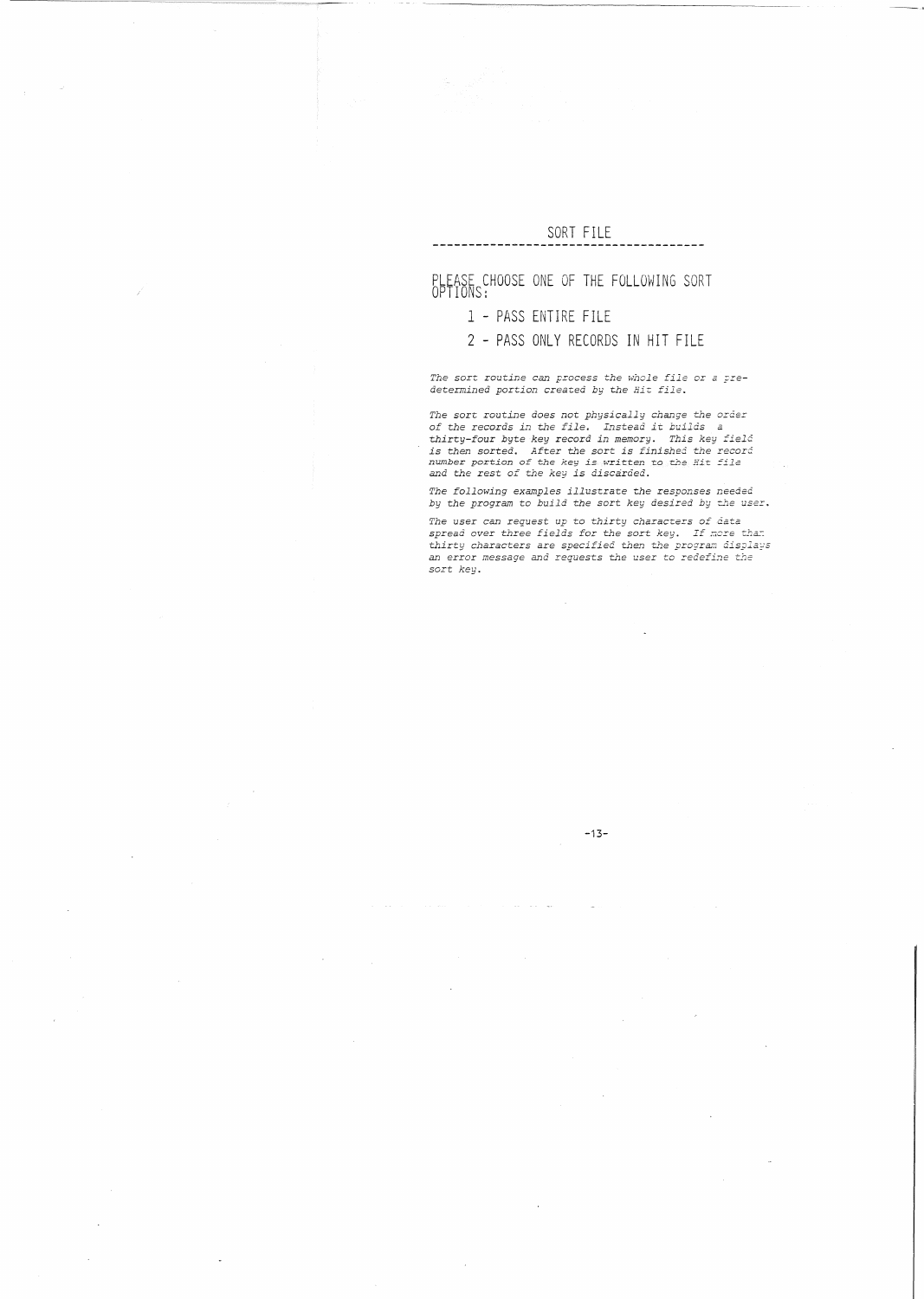# SORT FILE

--------

# PLEASE CHOOSE ONE OF THE FOLLOWING SORT<br>OPTIONS:

## 1 - PASS ENTIRE FILE

# 2 - PASS ONLY RECORDS IN HIT FILE

*The* sort routine can process the whole file or a pre*determined portion* created *by the Hit file.*

The sort routine does not physically change the order<br>of the records in the file. Instead it builds a<br>thirty-four byte key record in memory. This key field<br>is then sorted. After the sort is finished the record<br>number porti

*The following examples illustrate the responses needed by the program* to *build the* sort *key desired by the user.*

*The* user *can request up* to *thirty characLers of data spread* over *three fields for the sort key. If* more *the:. thirty characters* are *specified then the program* 6is~la~s *an* error *message and requests the user* to *redefine the sort key.*

### -13-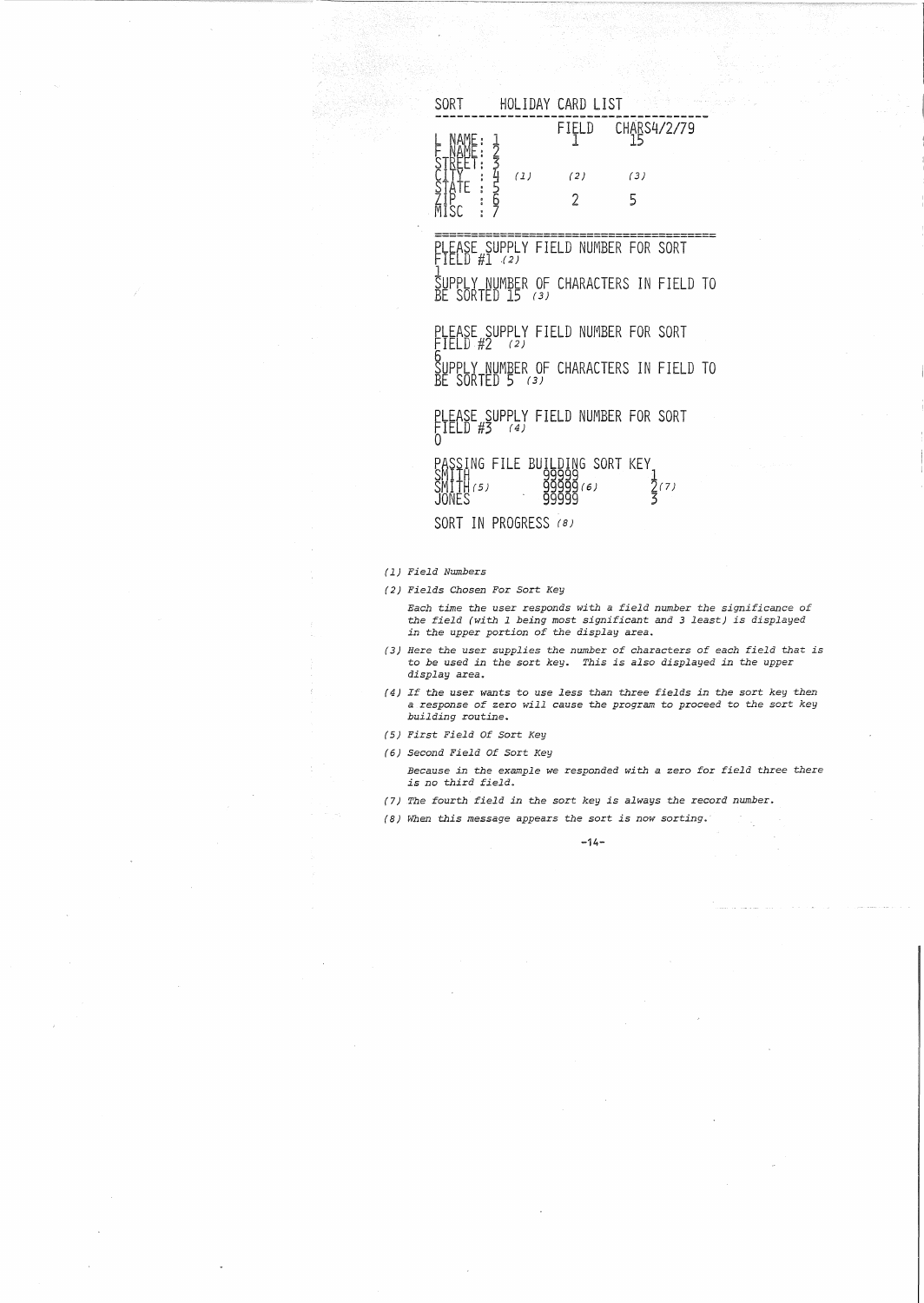| HOLIDAY CARD LIST<br>SORT |              |
|---------------------------|--------------|
| FIELD                     | CHABS4/2/79  |
| (1)<br>(2)                | (3)          |
|                           | $\mathbf{r}$ |

**=======================================** PLEASE SUPPLY FIELD NUMBER FOR SORT<br>FIELD #1 (2)

SUPPLY NUMBER OF CHARACTERS IN FIELD TO<br>BE SORTED 15 (3)

PLEASE SUPPLY FIELD NUMBER FOR SORT SUPPLY NUMBER OF CHARACTERS IN FIELD TO<br>BE SORTED 5 (3)

FLEASE SUFFLI FIELD NUMBER FOR SORT<br>FIELD #3 (4)<br>0

~~lf~~~)FILE BU~~~~1~6~ORT KEY~(7)  $J0NES$  999999 3

SORT IN PROGRESS (8)

*(1) Field Numbers*

*(2) Fields Chosen* For Sort *Key*

*Each t.ime* the *user responds with a field number the significance of* the *field (with* <sup>1</sup> *being most significant and* <sup>3</sup> *least) is displayed in* the *upper port.ion* of the *display area.*

- (3) *Here* the *user supplies the number of characters of each field that is* to *be used in the sort key. This is also displayed in the upper display area..*
- *(4) If the user wants* to *use less than three fields in* the sort *key then a response of* zero *will cause* the *program* t.o *proceed* to *the* sort *key building routine.*
- *(5) First Field Of Sort Key*
- *(6) Second Field Of Sort Key*
	- *Because in* the *exarnp1e we responded with* <sup>a</sup> *zero for field three there is no third field.*
- *(7)* The fourth field in the sort key is always the record number.
- ( 8) *When this message appears* the *sort. is now sort.ing.*

 $-14-$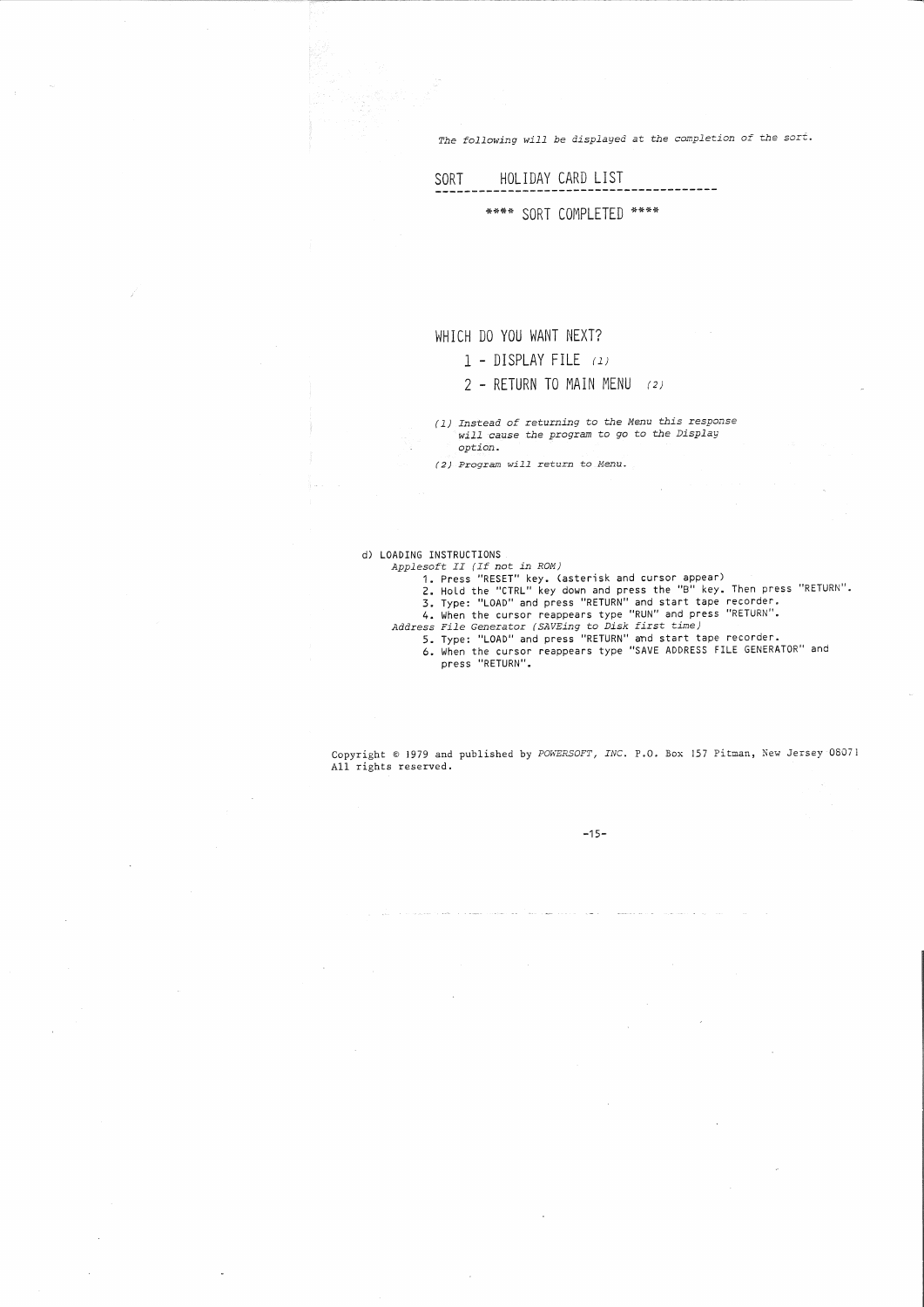The following will be displayed at the completion of the sort.

## SORT HOLIDAY CARD LIST ------------\*\*\*\* SORT COMPLETED \*\*\*\*

# WHICH DO YOU WANT NEXT?

### 1 - DISPLAY FILE (1)

### 2 - RETURN TO MAIN MENU (2)

( 1) Instead of returning to the Menu this response will cause the program to go to the Display<br>option.

 $(2)$  Program will return to Menu.

## d) LOADING INSTRUCTIONS

- 
- 
- 
- 
- 

Applesoft II (ION STRICTIONS)<br>
Applesoft II (I for in ROM)<br>
1. Press "RESET" key. Casterisk and cursor appear)<br>
2. Hold the "CTRL" key down and press the "B" key. Then press "RETURN".<br>
3. Type: "LOAD" and press "RETURN" an

press "RETURN".

Copyright © 1979 and published by POWERSOFT, INC. P.O. Box 157 Pitman, New Jersey 08071 All rights reserved.

-15-